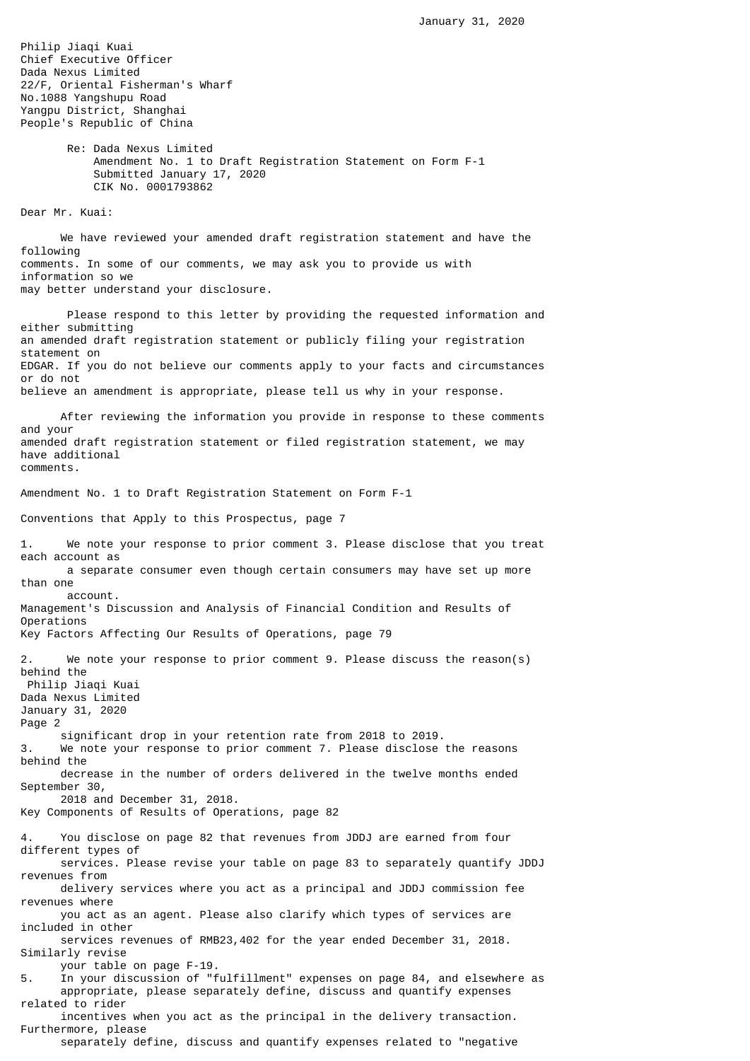Philip Jiaqi Kuai Chief Executive Officer Dada Nexus Limited 22/F, Oriental Fisherman's Wharf No.1088 Yangshupu Road Yangpu District, Shanghai People's Republic of China

> Re: Dada Nexus Limited Amendment No. 1 to Draft Registration Statement on Form F-1 Submitted January 17, 2020 CIK No. 0001793862

Dear Mr. Kuai:

 We have reviewed your amended draft registration statement and have the following comments. In some of our comments, we may ask you to provide us with information so we may better understand your disclosure.

 Please respond to this letter by providing the requested information and either submitting an amended draft registration statement or publicly filing your registration statement on EDGAR. If you do not believe our comments apply to your facts and circumstances or do not believe an amendment is appropriate, please tell us why in your response. After reviewing the information you provide in response to these comments and your amended draft registration statement or filed registration statement, we may have additional comments. Amendment No. 1 to Draft Registration Statement on Form F-1 Conventions that Apply to this Prospectus, page 7 1. We note your response to prior comment 3. Please disclose that you treat each account as a separate consumer even though certain consumers may have set up more than one account. Management's Discussion and Analysis of Financial Condition and Results of Operations Key Factors Affecting Our Results of Operations, page 79 2. We note your response to prior comment 9. Please discuss the reason(s) behind the Philip Jiaqi Kuai Dada Nexus Limited January 31, 2020 Page 2 significant drop in your retention rate from 2018 to 2019. 3. We note your response to prior comment 7. Please disclose the reasons behind the decrease in the number of orders delivered in the twelve months ended September 30, 2018 and December 31, 2018. Key Components of Results of Operations, page 82 You disclose on page 82 that revenues from JDDJ are earned from four different types of services. Please revise your table on page 83 to separately quantify JDDJ revenues from delivery services where you act as a principal and JDDJ commission fee revenues where you act as an agent. Please also clarify which types of services are included in other services revenues of RMB23,402 for the year ended December 31, 2018. Similarly revise your table on page F-19. 5. In your discussion of "fulfillment" expenses on page 84, and elsewhere as appropriate, please separately define, discuss and quantify expenses related to rider incentives when you act as the principal in the delivery transaction. Furthermore, please

separately define, discuss and quantify expenses related to "negative